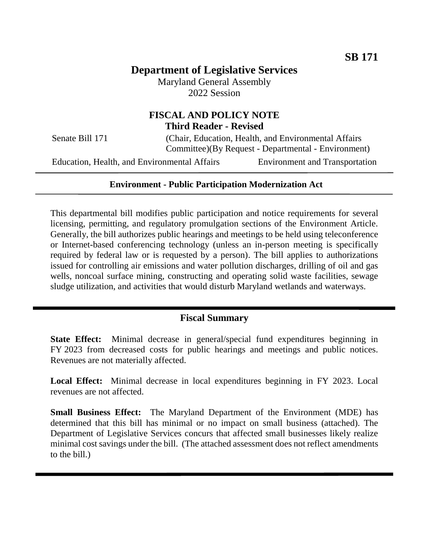# **Department of Legislative Services**

Maryland General Assembly 2022 Session

### **FISCAL AND POLICY NOTE Third Reader - Revised**

Senate Bill 171 (Chair, Education, Health, and Environmental Affairs Committee)(By Request - Departmental - Environment)

Education, Health, and Environmental Affairs Environment and Transportation

### **Environment - Public Participation Modernization Act**

This departmental bill modifies public participation and notice requirements for several licensing, permitting, and regulatory promulgation sections of the Environment Article. Generally, the bill authorizes public hearings and meetings to be held using teleconference or Internet-based conferencing technology (unless an in-person meeting is specifically required by federal law or is requested by a person). The bill applies to authorizations issued for controlling air emissions and water pollution discharges, drilling of oil and gas wells, noncoal surface mining, constructing and operating solid waste facilities, sewage sludge utilization, and activities that would disturb Maryland wetlands and waterways.

## **Fiscal Summary**

**State Effect:** Minimal decrease in general/special fund expenditures beginning in FY 2023 from decreased costs for public hearings and meetings and public notices. Revenues are not materially affected.

**Local Effect:** Minimal decrease in local expenditures beginning in FY 2023. Local revenues are not affected.

**Small Business Effect:** The Maryland Department of the Environment (MDE) has determined that this bill has minimal or no impact on small business (attached). The Department of Legislative Services concurs that affected small businesses likely realize minimal cost savings under the bill. (The attached assessment does not reflect amendments to the bill.)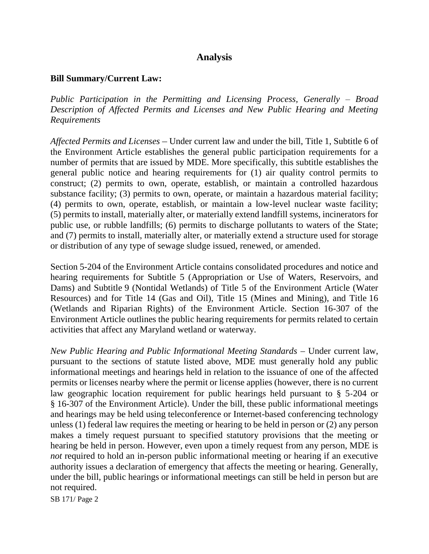## **Analysis**

### **Bill Summary/Current Law:**

*Public Participation in the Permitting and Licensing Process, Generally – Broad Description of Affected Permits and Licenses and New Public Hearing and Meeting Requirements* 

*Affected Permits and Licenses* – Under current law and under the bill, Title 1, Subtitle 6 of the Environment Article establishes the general public participation requirements for a number of permits that are issued by MDE. More specifically, this subtitle establishes the general public notice and hearing requirements for (1) air quality control permits to construct; (2) permits to own, operate, establish, or maintain a controlled hazardous substance facility; (3) permits to own, operate, or maintain a hazardous material facility; (4) permits to own, operate, establish, or maintain a low-level nuclear waste facility; (5) permits to install, materially alter, or materially extend landfill systems, incinerators for public use, or rubble landfills; (6) permits to discharge pollutants to waters of the State; and (7) permits to install, materially alter, or materially extend a structure used for storage or distribution of any type of sewage sludge issued, renewed, or amended.

Section 5-204 of the Environment Article contains consolidated procedures and notice and hearing requirements for Subtitle 5 (Appropriation or Use of Waters, Reservoirs, and Dams) and Subtitle 9 (Nontidal Wetlands) of Title 5 of the Environment Article (Water Resources) and for Title 14 (Gas and Oil), Title 15 (Mines and Mining), and Title 16 (Wetlands and Riparian Rights) of the Environment Article. Section 16-307 of the Environment Article outlines the public hearing requirements for permits related to certain activities that affect any Maryland wetland or waterway.

*New Public Hearing and Public Informational Meeting Standards – Under current law,* pursuant to the sections of statute listed above, MDE must generally hold any public informational meetings and hearings held in relation to the issuance of one of the affected permits or licenses nearby where the permit or license applies (however, there is no current law geographic location requirement for public hearings held pursuant to § 5-204 or § 16-307 of the Environment Article). Under the bill, these public informational meetings and hearings may be held using teleconference or Internet-based conferencing technology unless (1) federal law requires the meeting or hearing to be held in person or (2) any person makes a timely request pursuant to specified statutory provisions that the meeting or hearing be held in person. However, even upon a timely request from any person, MDE is *not* required to hold an in-person public informational meeting or hearing if an executive authority issues a declaration of emergency that affects the meeting or hearing. Generally, under the bill, public hearings or informational meetings can still be held in person but are not required.

SB 171/ Page 2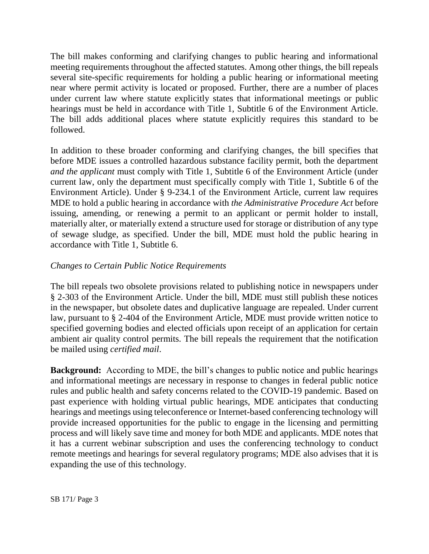The bill makes conforming and clarifying changes to public hearing and informational meeting requirements throughout the affected statutes. Among other things, the bill repeals several site-specific requirements for holding a public hearing or informational meeting near where permit activity is located or proposed. Further, there are a number of places under current law where statute explicitly states that informational meetings or public hearings must be held in accordance with Title 1, Subtitle 6 of the Environment Article. The bill adds additional places where statute explicitly requires this standard to be followed.

In addition to these broader conforming and clarifying changes, the bill specifies that before MDE issues a controlled hazardous substance facility permit, both the department *and the applicant* must comply with Title 1, Subtitle 6 of the Environment Article (under current law, only the department must specifically comply with Title 1, Subtitle 6 of the Environment Article). Under § 9-234.1 of the Environment Article, current law requires MDE to hold a public hearing in accordance with *the Administrative Procedure Act* before issuing, amending, or renewing a permit to an applicant or permit holder to install, materially alter, or materially extend a structure used for storage or distribution of any type of sewage sludge, as specified. Under the bill, MDE must hold the public hearing in accordance with Title 1, Subtitle 6.

## *Changes to Certain Public Notice Requirements*

The bill repeals two obsolete provisions related to publishing notice in newspapers under § 2-303 of the Environment Article. Under the bill, MDE must still publish these notices in the newspaper, but obsolete dates and duplicative language are repealed. Under current law, pursuant to § 2-404 of the Environment Article, MDE must provide written notice to specified governing bodies and elected officials upon receipt of an application for certain ambient air quality control permits. The bill repeals the requirement that the notification be mailed using *certified mail*.

**Background:** According to MDE, the bill's changes to public notice and public hearings and informational meetings are necessary in response to changes in federal public notice rules and public health and safety concerns related to the COVID-19 pandemic. Based on past experience with holding virtual public hearings, MDE anticipates that conducting hearings and meetings using teleconference or Internet-based conferencing technology will provide increased opportunities for the public to engage in the licensing and permitting process and will likely save time and money for both MDE and applicants. MDE notes that it has a current webinar subscription and uses the conferencing technology to conduct remote meetings and hearings for several regulatory programs; MDE also advises that it is expanding the use of this technology.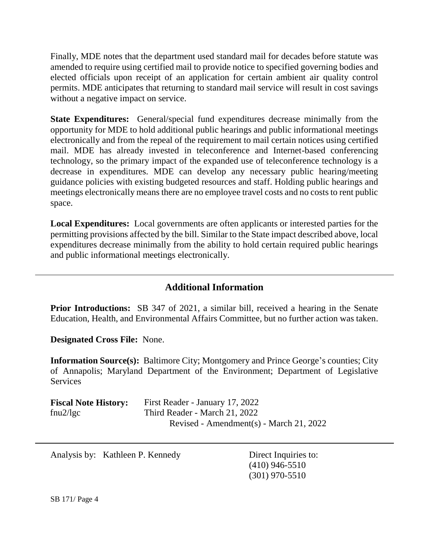Finally, MDE notes that the department used standard mail for decades before statute was amended to require using certified mail to provide notice to specified governing bodies and elected officials upon receipt of an application for certain ambient air quality control permits. MDE anticipates that returning to standard mail service will result in cost savings without a negative impact on service.

**State Expenditures:** General/special fund expenditures decrease minimally from the opportunity for MDE to hold additional public hearings and public informational meetings electronically and from the repeal of the requirement to mail certain notices using certified mail. MDE has already invested in teleconference and Internet-based conferencing technology, so the primary impact of the expanded use of teleconference technology is a decrease in expenditures. MDE can develop any necessary public hearing/meeting guidance policies with existing budgeted resources and staff. Holding public hearings and meetings electronically means there are no employee travel costs and no costs to rent public space.

**Local Expenditures:** Local governments are often applicants or interested parties for the permitting provisions affected by the bill. Similar to the State impact described above, local expenditures decrease minimally from the ability to hold certain required public hearings and public informational meetings electronically.

## **Additional Information**

**Prior Introductions:** SB 347 of 2021, a similar bill, received a hearing in the Senate Education, Health, and Environmental Affairs Committee, but no further action was taken.

**Designated Cross File:** None.

**Information Source(s):** Baltimore City; Montgomery and Prince George's counties; City of Annapolis; Maryland Department of the Environment; Department of Legislative Services

| <b>Fiscal Note History:</b> | First Reader - January 17, 2022         |
|-----------------------------|-----------------------------------------|
| fnu $2$ /lgc                | Third Reader - March 21, 2022           |
|                             | Revised - Amendment(s) - March 21, 2022 |

Analysis by: Kathleen P. Kennedy Direct Inquiries to:

(410) 946-5510 (301) 970-5510